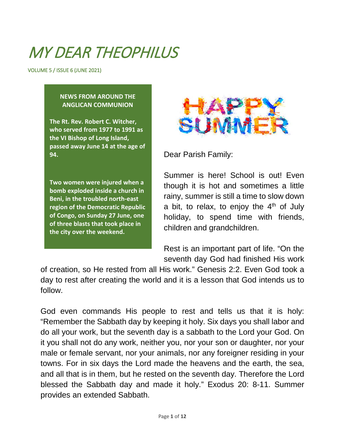## MY DFAR THEOPHILUS

VOLUME 5 / ISSUE 6 (JUNE 2021)

#### **NEWS FROM AROUND THE ANGLICAN COMMUNION**

**The Rt. Rev. Robert C. Witcher, who served from 1977 to 1991 as the VI Bishop of Long Island, passed away June 14 at the age of 94.**

**Two women were injured when a bomb exploded inside a church in Beni, in the troubled north-east region of the Democratic Republic of Congo, on Sunday 27 June, one of three blasts that took place in the city over the weekend.**



Dear Parish Family:

Summer is here! School is out! Even though it is hot and sometimes a little rainy, summer is still a time to slow down a bit, to relax, to enjoy the  $4<sup>th</sup>$  of July holiday, to spend time with friends, children and grandchildren.

Rest is an important part of life. "On the seventh day God had finished His work

of creation, so He rested from all His work." Genesis 2:2. Even God took a day to rest after creating the world and it is a lesson that God intends us to follow.

God even commands His people to rest and tells us that it is holy: "Remember the Sabbath day by keeping it holy. Six days you shall labor and do all your work, but the seventh day is a sabbath to the Lord your God. On it you shall not do any work, neither you, nor your son or daughter, nor your male or female servant, nor your animals, nor any foreigner residing in your towns. For in six days the Lord made the heavens and the earth, the sea, and all that is in them, but he rested on the seventh day. Therefore the Lord blessed the Sabbath day and made it holy." Exodus 20: 8-11. Summer provides an extended Sabbath.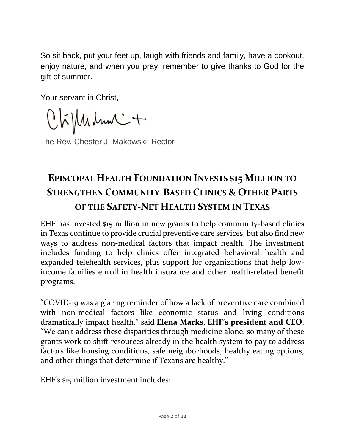So sit back, put your feet up, laugh with friends and family, have a cookout, enjoy nature, and when you pray, remember to give thanks to God for the gift of summer.

Your servant in Christ,

 $Q$  $\tilde{h}$  $\mu$  $\mu$  $\mu$  $\mu$  $\sim$  $+$ 

The Rev. Chester J. Makowski, Rector

### **EPISCOPAL HEALTH FOUNDATION INVESTS \$15 MILLION TO STRENGTHEN COMMUNITY-BASED CLINICS & OTHER PARTS OF THE SAFETY-NET HEALTH SYSTEM IN TEXAS**

EHF has invested \$15 million in new grants to help community-based clinics in Texas continue to provide crucial preventive care services, but also find new ways to address non-medical factors that impact health. The investment includes funding to help clinics offer integrated behavioral health and expanded telehealth services, plus support for organizations that help lowincome families enroll in health insurance and other health-related benefit programs.

"COVID-19 was a glaring reminder of how a lack of preventive care combined with non-medical factors like economic status and living conditions dramatically impact health," said **Elena Marks**, **EHF's president and CEO**. "We can't address these disparities through medicine alone, so many of these grants work to shift resources already in the health system to pay to address factors like housing conditions, safe neighborhoods, healthy eating options, and other things that determine if Texans are healthy."

EHF's \$15 million investment includes: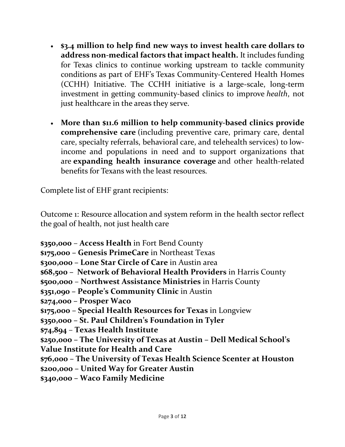- **\$3.4 million to help find new ways to invest health care dollars to address non-medical factors that impact health.** It includes funding for Texas clinics to continue working upstream to tackle community conditions as part of EHF's Texas [Community-Centered](http://www.episcopalhealth.org/en/grant-making/community-centered-health-homes/) Health Homes (CCHH) [Initiative.](http://www.episcopalhealth.org/en/grant-making/community-centered-health-homes/) The CCHH initiative is a large-scale, long-term investment in getting community-based clinics to improve *health*, not just healthcare in the areas they serve.
- **More than \$11.6 million to help community-based clinics provide comprehensive care** (including preventive care, primary care, dental care, specialty referrals, behavioral care, and telehealth services) to lowincome and populations in need and to support organizations that are **expanding health insurance coverage** and other health-related benefits for Texans with the least resources.

Complete list of EHF grant recipients:

Outcome 1: Resource allocation and system reform in the health sector reflect the goal of health, not just health care

**\$350,000** – **Access Health** in Fort Bend County

**\$175,000 – Genesis PrimeCare** in Northeast Texas

**\$300,000 – Lone Star Circle of Care** in Austin area

**\$68,500 – Network of Behavioral Health Providers** in Harris County

**\$500,000** – **Northwest Assistance Ministries** in Harris County

**\$351,090 – People's Community Clinic** in Austin

**\$274,000 – Prosper Waco**

**\$175,000 – Special Health Resources for Texas** in Longview

**\$350,000 – St. Paul Children's Foundation in Tyler**

**\$74,894** – **Texas Health Institute**

**\$250,000 – The University of Texas at Austin – Dell Medical School's**

**Value Institute for Health and Care**

**\$76,000 – The University of Texas Health Science Scenter at Houston**

**\$200,000 – United Way for Greater Austin**

**\$340,000 – Waco Family Medicine**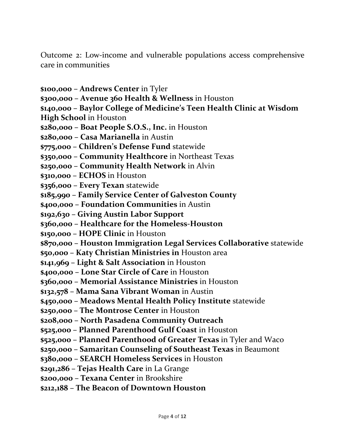Outcome 2: Low-income and vulnerable populations access comprehensive care in communities

**\$100,000 – Andrews Center** in Tyler **\$300,000 – Avenue 360 Health & Wellness** in Houston **\$140,000 – Baylor College of Medicine's Teen Health Clinic at Wisdom High School** in Houston **\$280,000 – Boat People S.O.S., Inc.** in Houston **\$280,000 – Casa Marianella** in Austin **\$775,000 – Children's Defense Fund** statewide **\$350,000 – Community Healthcore** in Northeast Texas **\$250,000 – Community Health Network** in Alvin **\$310,000 – ECHOS** in Houston **\$356,000 – Every Texan** statewide **\$185,990 – Family Service Center of Galveston County \$400,000 – Foundation Communities** in Austin **\$192,630 – Giving Austin Labor Support \$360,000 – Healthcare for the Homeless-Houston \$150,000 – HOPE Clinic** in Houston **\$870,000 – Houston Immigration Legal Services Collaborative** statewide **\$50,000 – Katy Christian Ministries in** Houston area **\$141,969 – Light & Salt Association** in Houston **\$400,000 – Lone Star Circle of Care** in Houston **\$360,000 – Memorial Assistance Ministries** in Houston **\$132,578 – Mama Sana Vibrant Woman** in Austin **\$450,000 – Meadows Mental Health Policy Institute** statewide **\$250,000 – The Montrose Center** in Houston **\$208,000 – North Pasadena Community Outreach \$525,000 – Planned Parenthood Gulf Coast** in Houston **\$525,000 – Planned Parenthood of Greater Texas** in Tyler and Waco **\$250,000 – Samaritan Counseling of Southeast Texas** in Beaumont **\$380,000 – SEARCH Homeless Services** in Houston **\$291,286 – Tejas Health Care** in La Grange **\$200,000 – Texana Center** in Brookshire

**\$212,188 – The Beacon of Downtown Houston**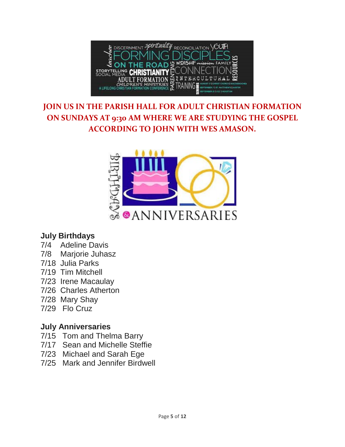

#### **JOIN US IN THE PARISH HALL FOR ADULT CHRISTIAN FORMATION ON SUNDAYS AT 9:30 AM WHERE WE ARE STUDYING THE GOSPEL ACCORDING TO JOHN WITH WES AMASON.**



#### **July Birthdays**

- 7/4 Adeline Davis
- 7/8 Marjorie Juhasz
- 7/18 Julia Parks
- 7/19 Tim Mitchell
- 7/23 Irene Macaulay
- 7/26 Charles Atherton
- 7/28 Mary Shay
- 7/29 Flo Cruz

#### **July Anniversaries**

- 7/15 Tom and Thelma Barry
- 7/17 Sean and Michelle Steffie
- 7/23 Michael and Sarah Ege
- 7/25 Mark and Jennifer Birdwell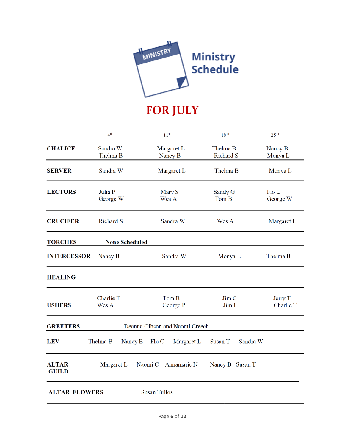

## **FOR JULY**

|                                                   | 4 <sup>th</sup>       | $11$ <sup>TH</sup>     | $18$ <sup>TH</sup>    | $25$ <sup>TH</sup>   |
|---------------------------------------------------|-----------------------|------------------------|-----------------------|----------------------|
| <b>CHALICE</b>                                    | Sandra W<br>Thelma B  | Margaret L<br>Nancy B  | Thelma B<br>Richard S | Nancy B<br>Monya L   |
| <b>SERVER</b>                                     | Sandra W              | Margaret L             | Thelma B              | Monya L              |
| <b>LECTORS</b>                                    | Julia P<br>George W   | Mary S<br>Wes A        | Sandy G<br>Tom B      | Flo C<br>George W    |
| <b>CRUCIFER</b>                                   | <b>Richard S</b>      | Sandra W               | Wes A                 | Margaret L           |
| <b>TORCHES</b>                                    | <b>None Scheduled</b> |                        |                       |                      |
| <b>INTERCESSOR</b>                                | Nancy B               | Sandra W               | Monya L               | Thelma B             |
| <b>HEALING</b>                                    |                       |                        |                       |                      |
| <b>USHERS</b>                                     | Charlie T<br>Wes A    | Tom B<br>George P      | Jim C<br>Jim L        | Jerry T<br>Charlie T |
| <b>GREETERS</b><br>Deanna Gibson and Naomi Creech |                       |                        |                       |                      |
| <b>LEV</b>                                        | Thelma B<br>Nancy B   | Flo C<br>Margaret L    | Susan T<br>Sandra W   |                      |
| <b>ALTAR</b><br><b>GUILD</b>                      | Margaret L            | Naomi C<br>Annamarie N | Nancy B Susan T       |                      |
| <b>Susan Tullos</b><br><b>ALTAR FLOWERS</b>       |                       |                        |                       |                      |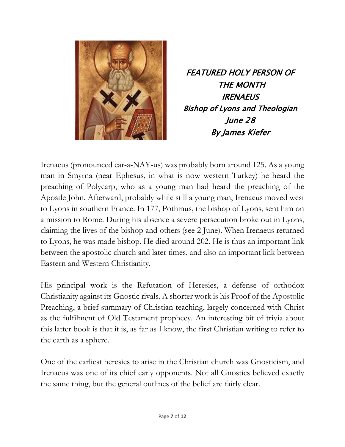

FEATURED HOLY PERSON OF THE MONTH **IRENAEUS** Bishop of Lyons and Theologian June 28 By James Kiefer

Irenaeus (pronounced ear-a-NAY-us) was probably born around 125. As a young man in Smyrna (near Ephesus, in what is now western Turkey) he heard the preaching of Polycarp, who as a young man had heard the preaching of the Apostle John. Afterward, probably while still a young man, Irenaeus moved west to Lyons in southern France. In 177, Pothinus, the bishop of Lyons, sent him on a mission to Rome. During his absence a severe persecution broke out in Lyons, claiming the lives of the bishop and others (see 2 June). When Irenaeus returned to Lyons, he was made bishop. He died around 202. He is thus an important link between the apostolic church and later times, and also an important link between Eastern and Western Christianity.

His principal work is the Refutation of Heresies, a defense of orthodox Christianity against its Gnostic rivals. A shorter work is his Proof of the Apostolic Preaching, a brief summary of Christian teaching, largely concerned with Christ as the fulfilment of Old Testament prophecy. An interesting bit of trivia about this latter book is that it is, as far as I know, the first Christian writing to refer to the earth as a sphere.

One of the earliest heresies to arise in the Christian church was Gnosticism, and Irenaeus was one of its chief early opponents. Not all Gnostics believed exactly the same thing, but the general outlines of the belief are fairly clear.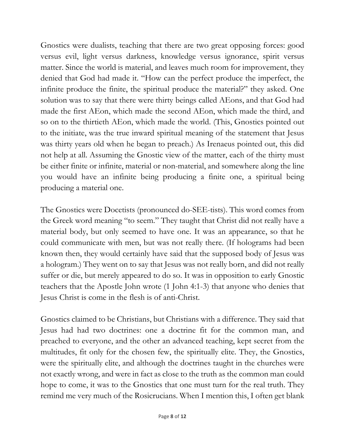Gnostics were dualists, teaching that there are two great opposing forces: good versus evil, light versus darkness, knowledge versus ignorance, spirit versus matter. Since the world is material, and leaves much room for improvement, they denied that God had made it. "How can the perfect produce the imperfect, the infinite produce the finite, the spiritual produce the material?" they asked. One solution was to say that there were thirty beings called AEons, and that God had made the first AEon, which made the second AEon, which made the third, and so on to the thirtieth AEon, which made the world. (This, Gnostics pointed out to the initiate, was the true inward spiritual meaning of the statement that Jesus was thirty years old when he began to preach.) As Irenaeus pointed out, this did not help at all. Assuming the Gnostic view of the matter, each of the thirty must be either finite or infinite, material or non-material, and somewhere along the line you would have an infinite being producing a finite one, a spiritual being producing a material one.

The Gnostics were Docetists (pronounced do-SEE-tists). This word comes from the Greek word meaning "to seem." They taught that Christ did not really have a material body, but only seemed to have one. It was an appearance, so that he could communicate with men, but was not really there. (If holograms had been known then, they would certainly have said that the supposed body of Jesus was a hologram.) They went on to say that Jesus was not really born, and did not really suffer or die, but merely appeared to do so. It was in opposition to early Gnostic teachers that the Apostle John wrote (1 John 4:1-3) that anyone who denies that Jesus Christ is come in the flesh is of anti-Christ.

Gnostics claimed to be Christians, but Christians with a difference. They said that Jesus had had two doctrines: one a doctrine fit for the common man, and preached to everyone, and the other an advanced teaching, kept secret from the multitudes, fit only for the chosen few, the spiritually elite. They, the Gnostics, were the spiritually elite, and although the doctrines taught in the churches were not exactly wrong, and were in fact as close to the truth as the common man could hope to come, it was to the Gnostics that one must turn for the real truth. They remind me very much of the Rosicrucians. When I mention this, I often get blank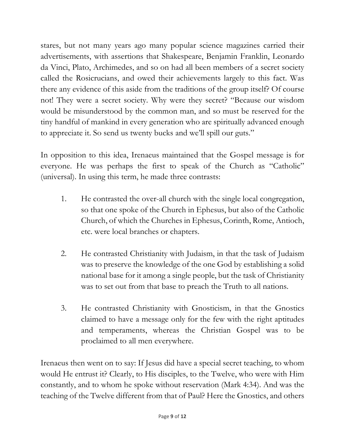stares, but not many years ago many popular science magazines carried their advertisements, with assertions that Shakespeare, Benjamin Franklin, Leonardo da Vinci, Plato, Archimedes, and so on had all been members of a secret society called the Rosicrucians, and owed their achievements largely to this fact. Was there any evidence of this aside from the traditions of the group itself? Of course not! They were a secret society. Why were they secret? "Because our wisdom would be misunderstood by the common man, and so must be reserved for the tiny handful of mankind in every generation who are spiritually advanced enough to appreciate it. So send us twenty bucks and we'll spill our guts."

In opposition to this idea, Irenaeus maintained that the Gospel message is for everyone. He was perhaps the first to speak of the Church as "Catholic" (universal). In using this term, he made three contrasts:

- 1. He contrasted the over-all church with the single local congregation, so that one spoke of the Church in Ephesus, but also of the Catholic Church, of which the Churches in Ephesus, Corinth, Rome, Antioch, etc. were local branches or chapters.
- 2. He contrasted Christianity with Judaism, in that the task of Judaism was to preserve the knowledge of the one God by establishing a solid national base for it among a single people, but the task of Christianity was to set out from that base to preach the Truth to all nations.
- 3. He contrasted Christianity with Gnosticism, in that the Gnostics claimed to have a message only for the few with the right aptitudes and temperaments, whereas the Christian Gospel was to be proclaimed to all men everywhere.

Irenaeus then went on to say: If Jesus did have a special secret teaching, to whom would He entrust it? Clearly, to His disciples, to the Twelve, who were with Him constantly, and to whom he spoke without reservation (Mark 4:34). And was the teaching of the Twelve different from that of Paul? Here the Gnostics, and others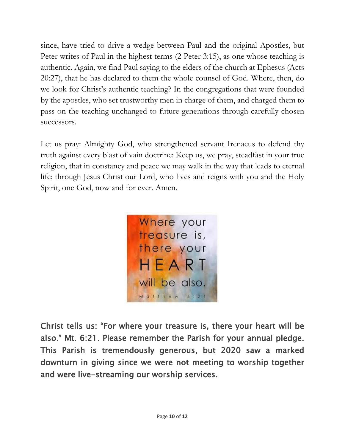since, have tried to drive a wedge between Paul and the original Apostles, but Peter writes of Paul in the highest terms (2 Peter 3:15), as one whose teaching is authentic. Again, we find Paul saying to the elders of the church at Ephesus (Acts 20:27), that he has declared to them the whole counsel of God. Where, then, do we look for Christ's authentic teaching? In the congregations that were founded by the apostles, who set trustworthy men in charge of them, and charged them to pass on the teaching unchanged to future generations through carefully chosen successors.

Let us pray: Almighty God, who strengthened servant Irenaeus to defend thy truth against every blast of vain doctrine: Keep us, we pray, steadfast in your true religion, that in constancy and peace we may walk in the way that leads to eternal life; through Jesus Christ our Lord, who lives and reigns with you and the Holy Spirit, one God, now and for ever. Amen.



Christ tells us: "For where your treasure is, there your heart will be also." Mt. 6:21. Please remember the Parish for your annual pledge. This Parish is tremendously generous, but 2020 saw a marked downturn in giving since we were not meeting to worship together and were live-streaming our worship services.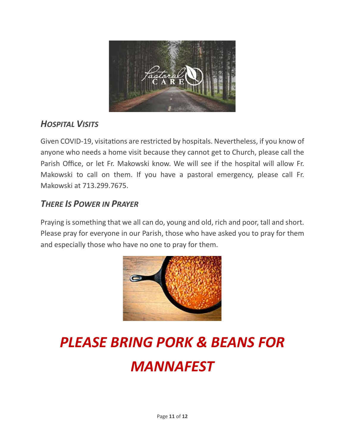

#### *HOSPITAL VISITS*

Given COVID-19, visitations are restricted by hospitals. Nevertheless, if you know of anyone who needs a home visit because they cannot get to Church, please call the Parish Office, or let Fr. Makowski know. We will see if the hospital will allow Fr. Makowski to call on them. If you have a pastoral emergency, please call Fr. Makowski at 713.299.7675.

#### *THERE IS POWER IN PRAYER*

Praying is something that we all can do, young and old, rich and poor, tall and short. Please pray for everyone in our Parish, those who have asked you to pray for them and especially those who have no one to pray for them.



# *PLEASE BRING PORK & BEANS FOR MANNAFEST*